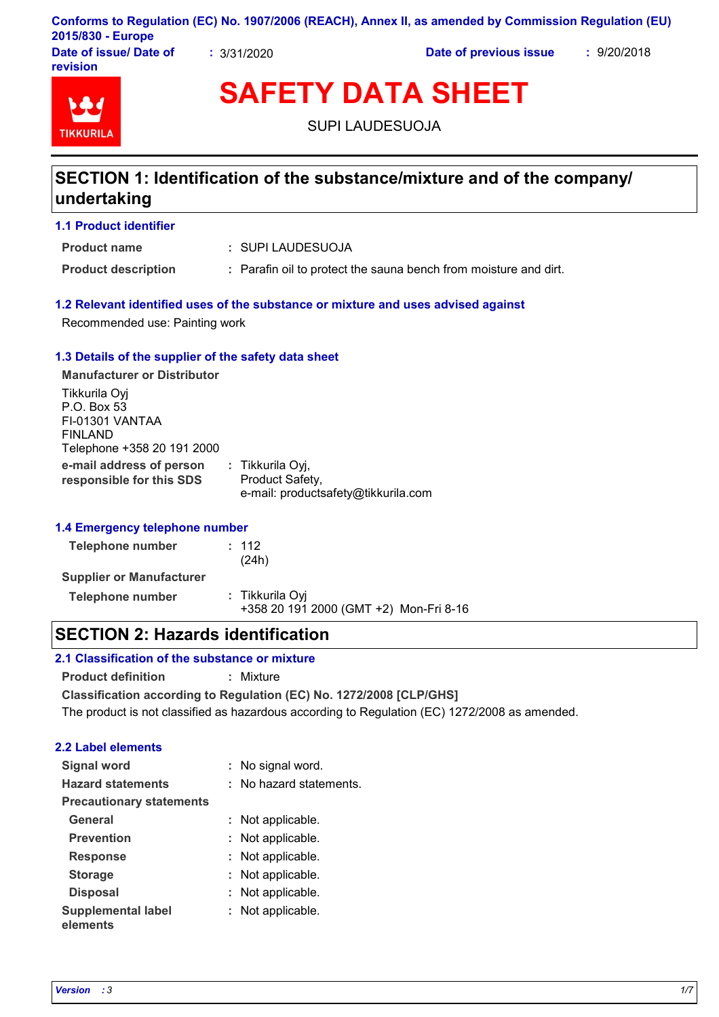|                        |             | Conforms to Regulation (EC) No. 1907/2006 (REACH), Annex II, as amended by Commission Regulation (EU) |             |
|------------------------|-------------|-------------------------------------------------------------------------------------------------------|-------------|
| 2015/830 - Europe      |             |                                                                                                       |             |
| Date of issue/ Date of | : 3/31/2020 | Date of previous issue                                                                                | : 9/20/2018 |

**Date of issue/ Date of revision**



**SAFETY DATA SHEET**

SUPI LAUDESUOJA

## **SECTION 1: Identification of the substance/mixture and of the company/ undertaking**

#### **1.1 Product identifier**

SUPI LAUDESUOJA **: Product name**

**Product description :** Parafin oil to protect the sauna bench from moisture and dirt.

#### **1.2 Relevant identified uses of the substance or mixture and uses advised against**

Recommended use: Painting work

#### **1.3 Details of the supplier of the safety data sheet**

**e-mail address of person responsible for this SDS :** Tikkurila Oyj, Product Safety, e-mail: productsafety@tikkurila.com **Manufacturer or Distributor** Tikkurila Oyj P.O. Box 53 FI-01301 VANTAA FINLAND Telephone +358 20 191 2000

#### **1.4 Emergency telephone number**

| Telephone number                | : 112<br>(24h)                                            |  |
|---------------------------------|-----------------------------------------------------------|--|
| <b>Supplier or Manufacturer</b> |                                                           |  |
| Telephone number                | : Tikkurila Oyi<br>+358 20 191 2000 (GMT +2) Mon-Fri 8-16 |  |

### **SECTION 2: Hazards identification**

#### **2.1 Classification of the substance or mixture**

**Product definition :** Mixture

**Classification according to Regulation (EC) No. 1272/2008 [CLP/GHS]**

The product is not classified as hazardous according to Regulation (EC) 1272/2008 as amended.

### **2.2 Label elements**

| <b>Signal word</b>                    | : No signal word.       |
|---------------------------------------|-------------------------|
| <b>Hazard statements</b>              | : No hazard statements. |
| <b>Precautionary statements</b>       |                         |
| General                               | : Not applicable.       |
| <b>Prevention</b>                     | : Not applicable.       |
| <b>Response</b>                       | : Not applicable.       |
| <b>Storage</b>                        | : Not applicable.       |
| <b>Disposal</b>                       | : Not applicable.       |
| <b>Supplemental label</b><br>elements | : Not applicable.       |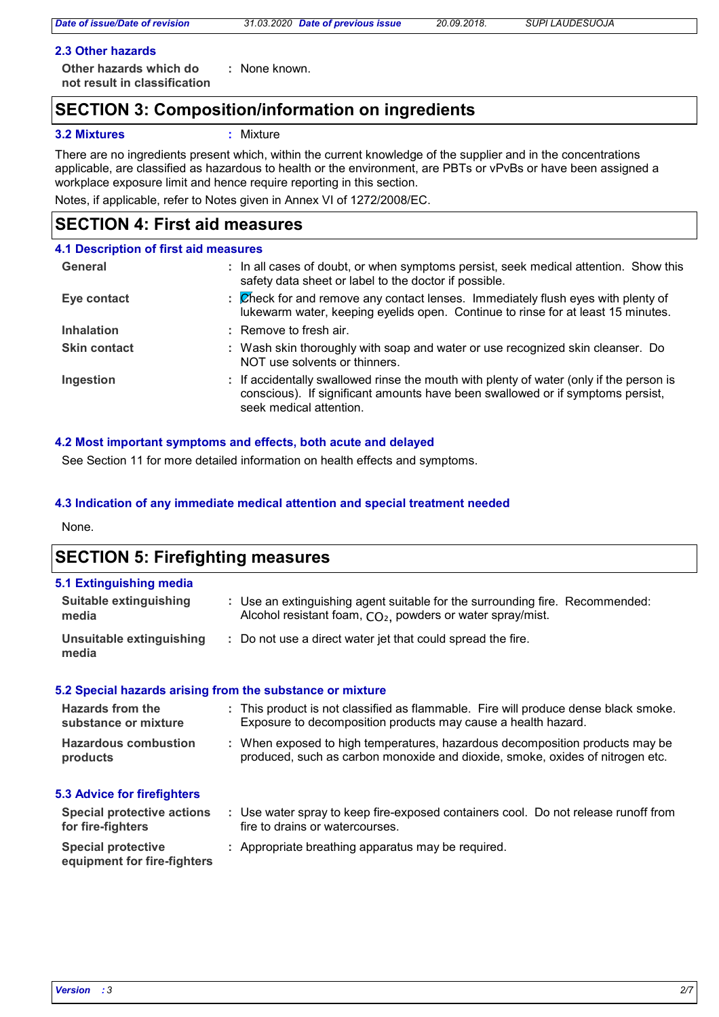*Date of issue/Date of revision 31.03.2020 Date of previous issue 20.09.2018. SUPI LAUDESUOJA*

#### **2.3 Other hazards**

**Other hazards which do : not result in classification** : None known.

### **SECTION 3: Composition/information on ingredients**

#### **3.2 Mixtures :** Mixture

There are no ingredients present which, within the current knowledge of the supplier and in the concentrations applicable, are classified as hazardous to health or the environment, are PBTs or vPvBs or have been assigned a workplace exposure limit and hence require reporting in this section.

Notes, if applicable, refer to Notes given in Annex VI of 1272/2008/EC.

### **SECTION 4: First aid measures**

| 4.1 Description of first aid measures |                                                                                                                                                                                                      |
|---------------------------------------|------------------------------------------------------------------------------------------------------------------------------------------------------------------------------------------------------|
| General                               | : In all cases of doubt, or when symptoms persist, seek medical attention. Show this<br>safety data sheet or label to the doctor if possible.                                                        |
| Eye contact                           | : Check for and remove any contact lenses. Immediately flush eyes with plenty of<br>lukewarm water, keeping eyelids open. Continue to rinse for at least 15 minutes.                                 |
| <b>Inhalation</b>                     | : Remove to fresh air.                                                                                                                                                                               |
| <b>Skin contact</b>                   | : Wash skin thoroughly with soap and water or use recognized skin cleanser. Do<br>NOT use solvents or thinners.                                                                                      |
| Ingestion                             | : If accidentally swallowed rinse the mouth with plenty of water (only if the person is<br>conscious). If significant amounts have been swallowed or if symptoms persist,<br>seek medical attention. |

#### **4.2 Most important symptoms and effects, both acute and delayed**

See Section 11 for more detailed information on health effects and symptoms.

#### **4.3 Indication of any immediate medical attention and special treatment needed**

None.

### **SECTION 5: Firefighting measures**

| 5.1 Extinguishing media           |                                                                                                                                              |
|-----------------------------------|----------------------------------------------------------------------------------------------------------------------------------------------|
| Suitable extinguishing<br>media   | : Use an extinguishing agent suitable for the surrounding fire. Recommended:<br>Alcohol resistant foam, $CO2$ , powders or water spray/mist. |
| Unsuitable extinguishing<br>media | : Do not use a direct water jet that could spread the fire.                                                                                  |

#### **5.2 Special hazards arising from the substance or mixture**

| <b>Hazards from the</b>            | : This product is not classified as flammable. Fire will produce dense black smoke. |
|------------------------------------|-------------------------------------------------------------------------------------|
| substance or mixture               | Exposure to decomposition products may cause a health hazard.                       |
| <b>Hazardous combustion</b>        | : When exposed to high temperatures, hazardous decomposition products may be        |
| products                           | produced, such as carbon monoxide and dioxide, smoke, oxides of nitrogen etc.       |
| <b>5.3 Advice for firefighters</b> |                                                                                     |

#### Use water spray to keep fire-exposed containers cool. Do not release runoff from **:** fire to drains or watercourses. **Special protective : Appropriate breathing apparatus may be required. Special protective actions for fire-fighters**

## **equipment for fire-fighters**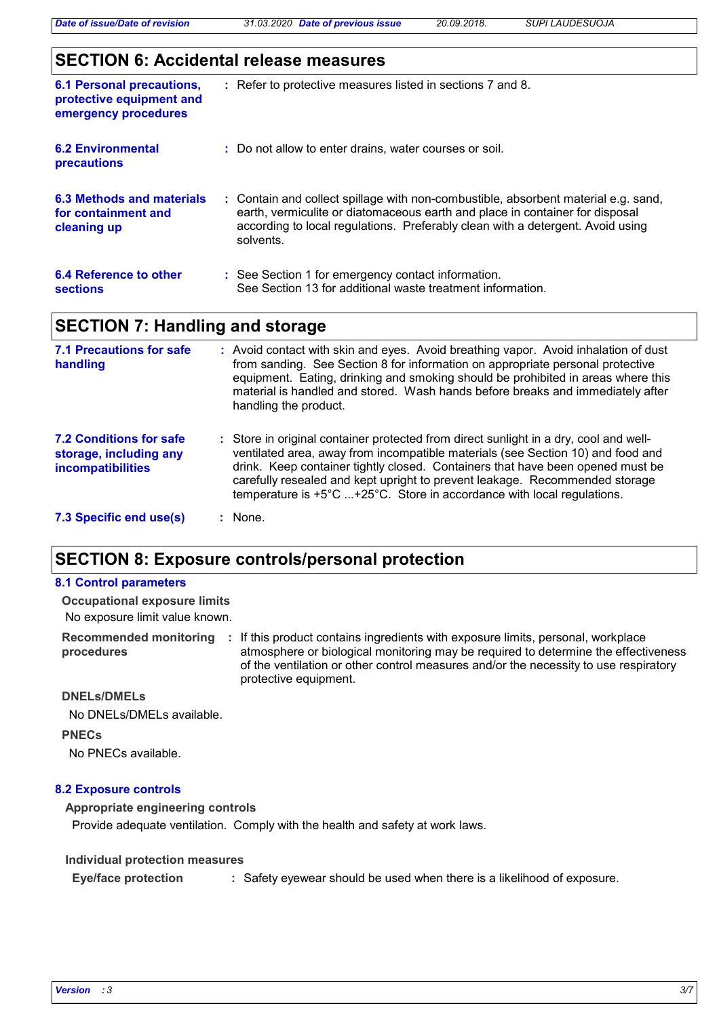*Date of issue/Date of revision 31.03.2020 Date of previous issue 20.09.2018. SUPI LAUDESUOJA*

### **SECTION 6: Accidental release measures**

| <b>6.1 Personal precautions,</b><br>protective equipment and<br>emergency procedures | : Refer to protective measures listed in sections 7 and 8.                                                                                                                                                                                                        |
|--------------------------------------------------------------------------------------|-------------------------------------------------------------------------------------------------------------------------------------------------------------------------------------------------------------------------------------------------------------------|
| 6.2 Environmental<br>precautions                                                     | : Do not allow to enter drains, water courses or soil.                                                                                                                                                                                                            |
| 6.3 Methods and materials<br>for containment and<br>cleaning up                      | : Contain and collect spillage with non-combustible, absorbent material e.g. sand,<br>earth, vermiculite or diatomaceous earth and place in container for disposal<br>according to local regulations. Preferably clean with a detergent. Avoid using<br>solvents. |
| 6.4 Reference to other<br><b>sections</b>                                            | : See Section 1 for emergency contact information.<br>See Section 13 for additional waste treatment information.                                                                                                                                                  |

## **SECTION 7: Handling and storage**

| <b>7.1 Precautions for safe</b><br>handling                                          | : Avoid contact with skin and eyes. Avoid breathing vapor. Avoid inhalation of dust<br>from sanding. See Section 8 for information on appropriate personal protective<br>equipment. Eating, drinking and smoking should be prohibited in areas where this<br>material is handled and stored. Wash hands before breaks and immediately after<br>handling the product.                                                          |
|--------------------------------------------------------------------------------------|-------------------------------------------------------------------------------------------------------------------------------------------------------------------------------------------------------------------------------------------------------------------------------------------------------------------------------------------------------------------------------------------------------------------------------|
| <b>7.2 Conditions for safe</b><br>storage, including any<br><i>incompatibilities</i> | : Store in original container protected from direct sunlight in a dry, cool and well-<br>ventilated area, away from incompatible materials (see Section 10) and food and<br>drink. Keep container tightly closed. Containers that have been opened must be<br>carefully resealed and kept upright to prevent leakage. Recommended storage<br>temperature is $+5^{\circ}$ C +25°C. Store in accordance with local regulations. |
| 7.3 Specific end use(s)                                                              | None.                                                                                                                                                                                                                                                                                                                                                                                                                         |

### **SECTION 8: Exposure controls/personal protection**

#### **8.1 Control parameters**

No exposure limit value known. **Occupational exposure limits**

Recommended monitoring : If this product contains ingredients with exposure limits, personal, workplace **procedures** atmosphere or biological monitoring may be required to determine the effectiveness of the ventilation or other control measures and/or the necessity to use respiratory protective equipment.

#### **DNELs/DMELs**

No DNELs/DMELs available.

**PNECs**

No PNECs available.

#### **8.2 Exposure controls**

#### **Appropriate engineering controls**

Provide adequate ventilation. Comply with the health and safety at work laws.

#### **Individual protection measures**

**Eye/face protection :** Safety eyewear should be used when there is a likelihood of exposure.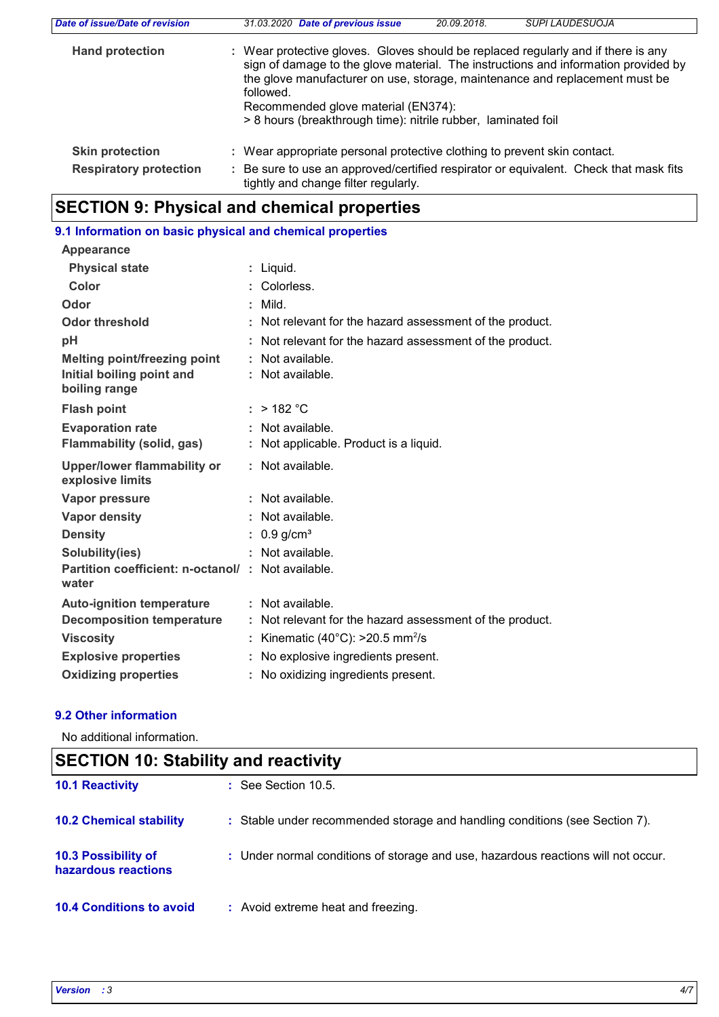| Date of issue/Date of revision | 31.03.2020 Date of previous issue<br><b>SUPI LAUDESUOJA</b><br>20.09.2018.                                                                                                                                                                                                                                                                                                  |  |  |  |
|--------------------------------|-----------------------------------------------------------------------------------------------------------------------------------------------------------------------------------------------------------------------------------------------------------------------------------------------------------------------------------------------------------------------------|--|--|--|
| <b>Hand protection</b>         | : Wear protective gloves. Gloves should be replaced regularly and if there is any<br>sign of damage to the glove material. The instructions and information provided by<br>the glove manufacturer on use, storage, maintenance and replacement must be<br>followed.<br>Recommended glove material (EN374):<br>> 8 hours (breakthrough time): nitrile rubber, laminated foil |  |  |  |
| <b>Skin protection</b>         | : Wear appropriate personal protective clothing to prevent skin contact.                                                                                                                                                                                                                                                                                                    |  |  |  |
| <b>Respiratory protection</b>  | Be sure to use an approved/certified respirator or equivalent. Check that mask fits<br>tightly and change filter regularly.                                                                                                                                                                                                                                                 |  |  |  |

# **SECTION 9: Physical and chemical properties**

## **9.1 Information on basic physical and chemical properties**

| <b>Appearance</b>                                          |                                                          |
|------------------------------------------------------------|----------------------------------------------------------|
| <b>Physical state</b>                                      | $:$ Liquid.                                              |
| Color                                                      | : Colorless.                                             |
| Odor                                                       | $:$ Mild.                                                |
| <b>Odor threshold</b>                                      | : Not relevant for the hazard assessment of the product. |
| рH                                                         | Not relevant for the hazard assessment of the product.   |
| <b>Melting point/freezing point</b>                        | : Not available.                                         |
| Initial boiling point and<br>boiling range                 | : Not available.                                         |
| <b>Flash point</b>                                         | $:$ > 182 °C                                             |
| <b>Evaporation rate</b>                                    | : Not available.                                         |
| Flammability (solid, gas)                                  | : Not applicable. Product is a liquid.                   |
| <b>Upper/lower flammability or</b><br>explosive limits     | : Not available.                                         |
| Vapor pressure                                             | : Not available.                                         |
| <b>Vapor density</b>                                       | : Not available.                                         |
| <b>Density</b>                                             | : $0.9$ g/cm <sup>3</sup>                                |
| Solubility(ies)                                            | : Not available.                                         |
| Partition coefficient: n-octanol/: Not available.<br>water |                                                          |
| <b>Auto-ignition temperature</b>                           | : Not available.                                         |
| <b>Decomposition temperature</b>                           | : Not relevant for the hazard assessment of the product. |
| <b>Viscosity</b>                                           | Kinematic (40 $^{\circ}$ C): >20.5 mm <sup>2</sup> /s    |
| <b>Explosive properties</b>                                | : No explosive ingredients present.                      |
| <b>Oxidizing properties</b>                                | : No oxidizing ingredients present.                      |

#### **9.2 Other information**

No additional information.

| <b>SECTION 10: Stability and reactivity</b> |                                                                                   |  |  |
|---------------------------------------------|-----------------------------------------------------------------------------------|--|--|
| <b>10.1 Reactivity</b>                      | $:$ See Section 10.5.                                                             |  |  |
| <b>10.2 Chemical stability</b>              | : Stable under recommended storage and handling conditions (see Section 7).       |  |  |
| 10.3 Possibility of<br>hazardous reactions  | : Under normal conditions of storage and use, hazardous reactions will not occur. |  |  |
| <b>10.4 Conditions to avoid</b>             | : Avoid extreme heat and freezing.                                                |  |  |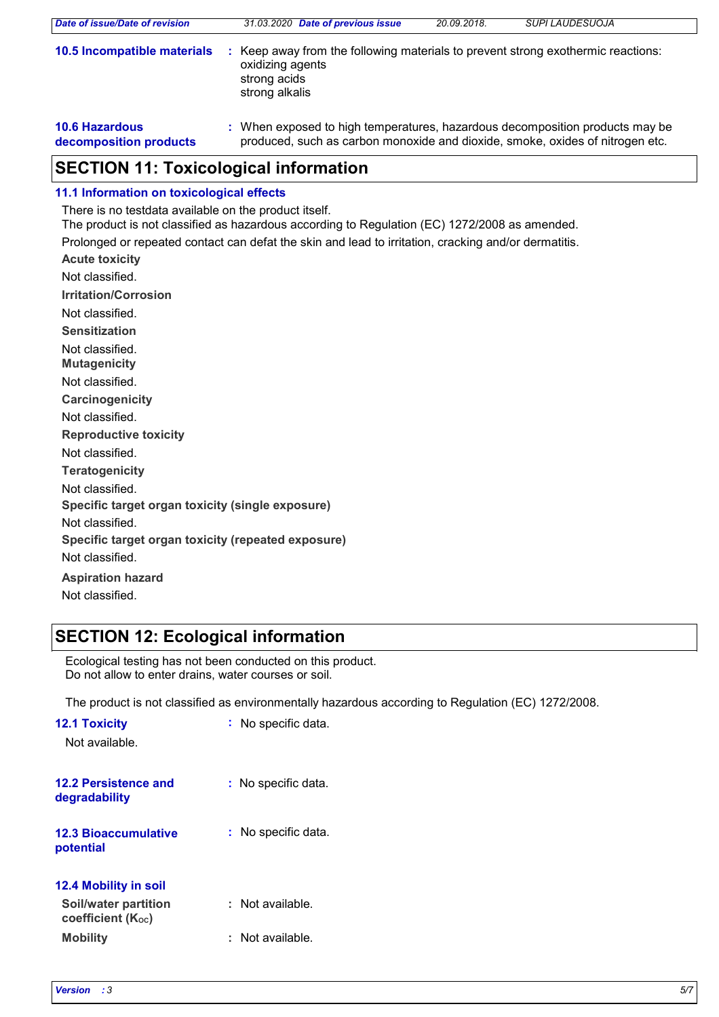| Date of issue/Date of revision                  | 31.03.2020 Date of previous issue                                                                                                                             | 20.09.2018. | <b>SUPI LAUDESUOJA</b> |  |
|-------------------------------------------------|---------------------------------------------------------------------------------------------------------------------------------------------------------------|-------------|------------------------|--|
| 10.5 Incompatible materials                     | Keep away from the following materials to prevent strong exothermic reactions:<br>oxidizing agents<br>strong acids<br>strong alkalis                          |             |                        |  |
| <b>10.6 Hazardous</b><br>decomposition products | : When exposed to high temperatures, hazardous decomposition products may be<br>produced, such as carbon monoxide and dioxide, smoke, oxides of nitrogen etc. |             |                        |  |

### **SECTION 11: Toxicological information**

#### **11.1 Information on toxicological effects**

There is no testdata available on the product itself.

The product is not classified as hazardous according to Regulation (EC) 1272/2008 as amended.

Prolonged or repeated contact can defat the skin and lead to irritation, cracking and/or dermatitis.

**Acute toxicity Carcinogenicity Mutagenicity Teratogenicity Reproductive toxicity Irritation/Corrosion Sensitization Specific target organ toxicity (single exposure) Specific target organ toxicity (repeated exposure)** Not classified. Not classified. Not classified. Not classified. Not classified. Not classified. Not classified. Not classified. Not classified.

**Aspiration hazard** Not classified.

## **SECTION 12: Ecological information**

Ecological testing has not been conducted on this product. Do not allow to enter drains, water courses or soil.

The product is not classified as environmentally hazardous according to Regulation (EC) 1272/2008.

| <b>12.1 Toxicity</b><br>Not available.                        | : No specific data.     |
|---------------------------------------------------------------|-------------------------|
| 12.2 Persistence and<br>degradability                         | No specific data.<br>t. |
| <b>12.3 Bioaccumulative</b><br>potential                      | No specific data.       |
| <b>12.4 Mobility in soil</b>                                  |                         |
| Soil/water partition<br><b>coefficient</b> (K <sub>oc</sub> ) | : Not available.        |
| <b>Mobility</b>                                               | Not available.          |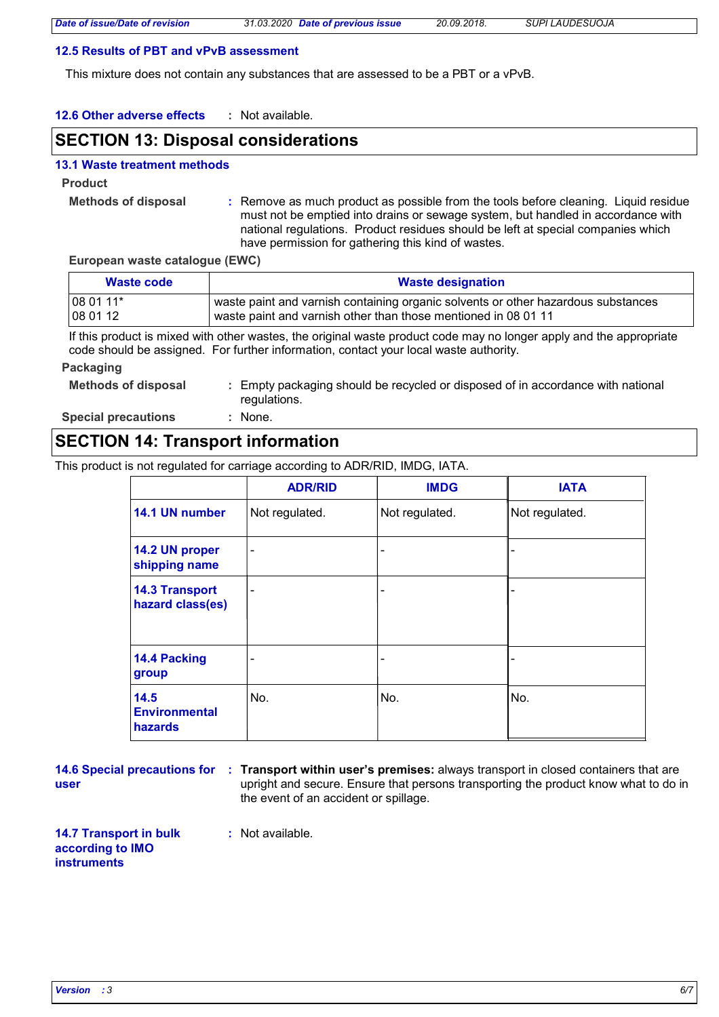#### **12.5 Results of PBT and vPvB assessment**

This mixture does not contain any substances that are assessed to be a PBT or a vPvB.

**12.6 Other adverse effects :**

### **SECTION 13: Disposal considerations**

#### **13.1 Waste treatment methods**

**Product**

**Methods of disposal :**

Remove as much product as possible from the tools before cleaning. Liquid residue must not be emptied into drains or sewage system, but handled in accordance with national regulations. Product residues should be left at special companies which have permission for gathering this kind of wastes.

**European waste catalogue (EWC)**

| Waste code       | <b>Waste designation</b>                                                          |  |
|------------------|-----------------------------------------------------------------------------------|--|
| $1080111*$       | waste paint and varnish containing organic solvents or other hazardous substances |  |
| $ 080112\rangle$ | waste paint and varnish other than those mentioned in 08 01 11                    |  |

If this product is mixed with other wastes, the original waste product code may no longer apply and the appropriate code should be assigned. For further information, contact your local waste authority.

#### **Packaging**

**Methods of disposal :**

Empty packaging should be recycled or disposed of in accordance with national regulations.

**Special precautions :** : None.

### **SECTION 14: Transport information**

This product is not regulated for carriage according to ADR/RID, IMDG, IATA.

|                                           | <b>ADR/RID</b>           | <b>IMDG</b>                  | <b>IATA</b>    |
|-------------------------------------------|--------------------------|------------------------------|----------------|
| 14.1 UN number                            | Not regulated.           | Not regulated.               | Not regulated. |
| 14.2 UN proper<br>shipping name           | $\blacksquare$           | -                            |                |
| <b>14.3 Transport</b><br>hazard class(es) | $\overline{\phantom{a}}$ | -                            | -              |
| 14.4 Packing<br>group                     |                          | $\qquad \qquad \blacksquare$ |                |
| 14.5<br><b>Environmental</b><br>hazards   | No.                      | No.                          | No.            |

**user**

**14.6 Special precautions for : Transport within user's premises: always transport in closed containers that are** upright and secure. Ensure that persons transporting the product know what to do in the event of an accident or spillage.

**14.7 Transport in bulk according to IMO instruments**

**:** Not available.